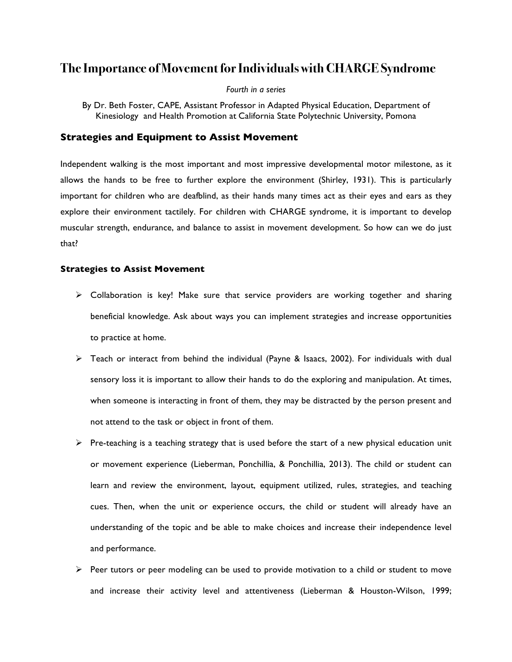# **The Importance of Movement for Individuals with CHARGE Syndrome**

#### *Fourth in a series*

## **Strategies and Equipment to Assist Movement**

Independent walking is the most important and most impressive developmental motor milestone, as it allows the hands to be free to further explore the environment (Shirley, 1931). This is particularly important for children who are deafblind, as their hands many times act as their eyes and ears as they explore their environment tactilely. For children with CHARGE syndrome, it is important to develop muscular strength, endurance, and balance to assist in movement development. So how can we do just that?

### **Strategies to Assist Movement**

- $\triangleright$  Collaboration is key! Make sure that service providers are working together and sharing beneficial knowledge. Ask about ways you can implement strategies and increase opportunities to practice at home.
- $\triangleright$  Teach or interact from behind the individual (Payne & Isaacs, 2002). For individuals with dual sensory loss it is important to allow their hands to do the exploring and manipulation. At times, when someone is interacting in front of them, they may be distracted by the person present and not attend to the task or object in front of them.
- $\triangleright$  Pre-teaching is a teaching strategy that is used before the start of a new physical education unit or movement experience (Lieberman, Ponchillia, & Ponchillia, 2013). The child or student can learn and review the environment, layout, equipment utilized, rules, strategies, and teaching cues. Then, when the unit or experience occurs, the child or student will already have an understanding of the topic and be able to make choices and increase their independence level and performance.
- $\triangleright$  Peer tutors or peer modeling can be used to provide motivation to a child or student to move and increase their activity level and attentiveness (Lieberman & Houston-Wilson, 1999;

By Dr. Beth Foster, CAPE, Assistant Professor in Adapted Physical Education, Department of Kinesiology and Health Promotion at California State Polytechnic University, Pomona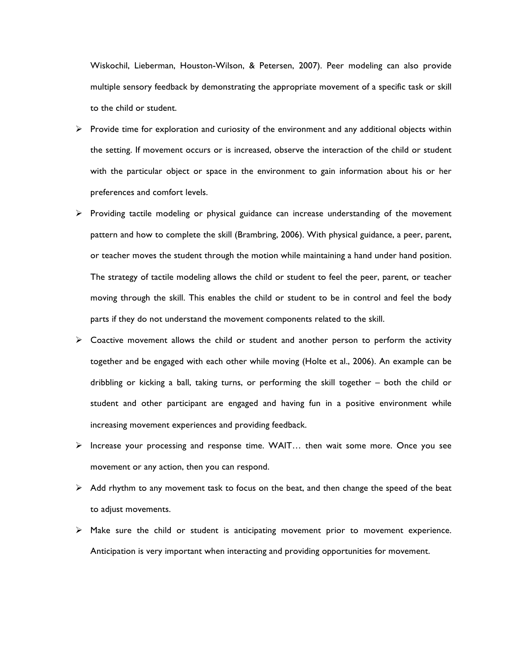Wiskochil, Lieberman, Houston-Wilson, & Petersen, 2007). Peer modeling can also provide multiple sensory feedback by demonstrating the appropriate movement of a specific task or skill to the child or student.

- $\triangleright$  Provide time for exploration and curiosity of the environment and any additional objects within the setting. If movement occurs or is increased, observe the interaction of the child or student with the particular object or space in the environment to gain information about his or her preferences and comfort levels.
- $\triangleright$  Providing tactile modeling or physical guidance can increase understanding of the movement pattern and how to complete the skill (Brambring, 2006). With physical guidance, a peer, parent, or teacher moves the student through the motion while maintaining a hand under hand position. The strategy of tactile modeling allows the child or student to feel the peer, parent, or teacher moving through the skill. This enables the child or student to be in control and feel the body parts if they do not understand the movement components related to the skill.
- $\triangleright$  Coactive movement allows the child or student and another person to perform the activity together and be engaged with each other while moving (Holte et al., 2006). An example can be dribbling or kicking a ball, taking turns, or performing the skill together – both the child or student and other participant are engaged and having fun in a positive environment while increasing movement experiences and providing feedback.
- $\triangleright$  Increase your processing and response time. WAIT... then wait some more. Once you see movement or any action, then you can respond.
- $\triangleright$  Add rhythm to any movement task to focus on the beat, and then change the speed of the beat to adjust movements.
- $\triangleright$  Make sure the child or student is anticipating movement prior to movement experience. Anticipation is very important when interacting and providing opportunities for movement.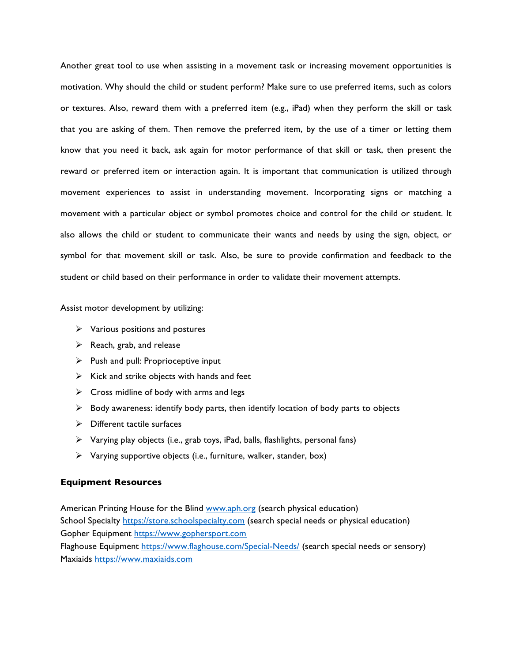Another great tool to use when assisting in a movement task or increasing movement opportunities is motivation. Why should the child or student perform? Make sure to use preferred items, such as colors or textures. Also, reward them with a preferred item (e.g., iPad) when they perform the skill or task that you are asking of them. Then remove the preferred item, by the use of a timer or letting them know that you need it back, ask again for motor performance of that skill or task, then present the reward or preferred item or interaction again. It is important that communication is utilized through movement experiences to assist in understanding movement. Incorporating signs or matching a movement with a particular object or symbol promotes choice and control for the child or student. It also allows the child or student to communicate their wants and needs by using the sign, object, or symbol for that movement skill or task. Also, be sure to provide confirmation and feedback to the student or child based on their performance in order to validate their movement attempts.

Assist motor development by utilizing:

- $\triangleright$  Various positions and postures
- $\triangleright$  Reach, grab, and release
- $\triangleright$  Push and pull: Proprioceptive input
- $\triangleright$  Kick and strike objects with hands and feet
- $\triangleright$  Cross midline of body with arms and legs
- $\triangleright$  Body awareness: identify body parts, then identify location of body parts to objects
- $\triangleright$  Different tactile surfaces
- $\triangleright$  Varying play objects (i.e., grab toys, iPad, balls, flashlights, personal fans)
- $\triangleright$  Varying supportive objects (i.e., furniture, walker, stander, box)

### **Equipment Resources**

American Printing House for the Blind www.aph.org (search physical education) School Specialty https://store.schoolspecialty.com (search special needs or physical education) Gopher Equipment https://www.gophersport.com Flaghouse Equipment https://www.flaghouse.com/Special-Needs/ (search special needs or sensory) Maxiaids https://www.maxiaids.com